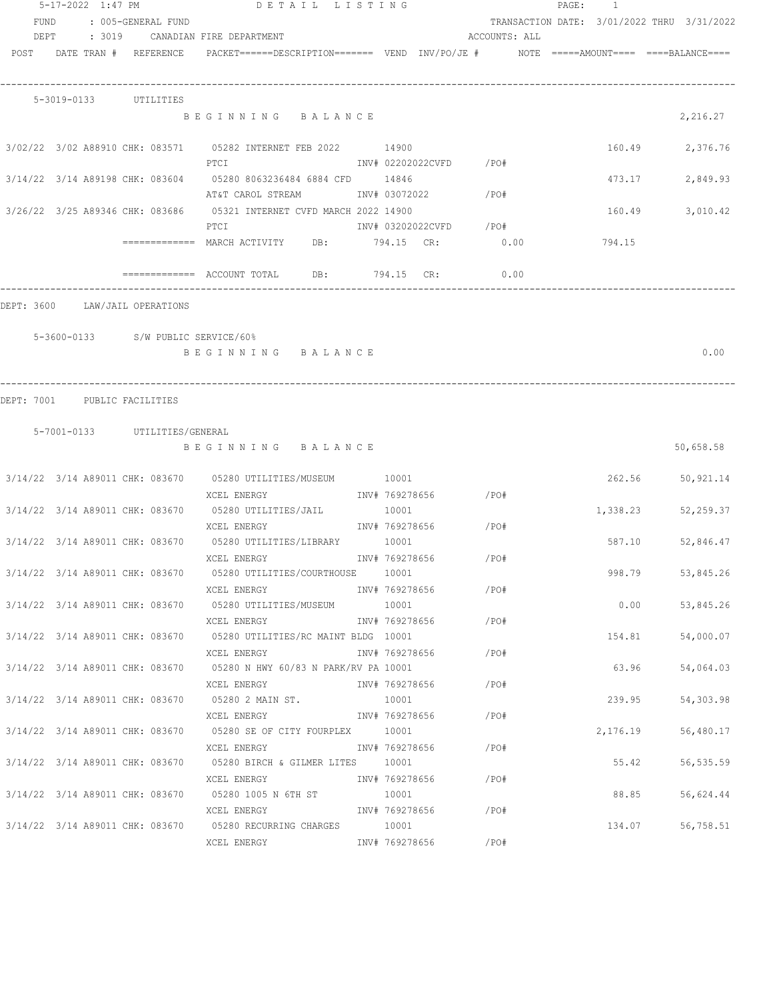|             | 5-17-2022 1:47 PM |                                    | DETAIL LISTING                                                                                               |                |                        |               | PAGE: | $\overline{1}$ |                                            |
|-------------|-------------------|------------------------------------|--------------------------------------------------------------------------------------------------------------|----------------|------------------------|---------------|-------|----------------|--------------------------------------------|
| <b>FUND</b> |                   | : 005-GENERAL FUND                 |                                                                                                              |                |                        |               |       |                | TRANSACTION DATE: 3/01/2022 THRU 3/31/2022 |
|             |                   |                                    | DEPT : 3019 CANADIAN FIRE DEPARTMENT                                                                         |                |                        | ACCOUNTS: ALL |       |                |                                            |
|             |                   | POST DATE TRAN # REFERENCE         | PACKET======DESCRIPTION======= VEND INV/PO/JE #     NOTE =====AMOUNT==== ====BALANCE====                     |                |                        |               |       |                |                                            |
|             |                   |                                    |                                                                                                              |                |                        |               |       |                |                                            |
|             |                   | 5-3019-0133 UTILITIES              | BEGINNING BALANCE                                                                                            |                |                        |               |       |                | 2,216.27                                   |
|             |                   |                                    |                                                                                                              |                |                        |               |       |                |                                            |
|             |                   |                                    | 3/02/22 3/02 A88910 CHK: 083571 05282 INTERNET FEB 2022 14900<br>PTCI                                        |                | INV# 02202022CVFD /PO# |               |       | 160.49         | 2,376.76                                   |
|             |                   |                                    | 3/14/22 3/14 A89198 CHK: 083604 05280 8063236484 6884 CFD 14846                                              |                |                        |               |       | 473.17         | 2,849.93                                   |
|             |                   |                                    | AT&T CAROL STREAM MOTH INV# 03072022<br>3/26/22 3/25 A89346 CHK: 083686 05321 INTERNET CVFD MARCH 2022 14900 |                |                        | $/$ PO#       |       | 160.49         | 3,010.42                                   |
|             |                   |                                    | INV# 03202022CVFD /PO#<br>PTCI                                                                               |                |                        |               |       |                |                                            |
|             |                   |                                    | ============= MARCH ACTIVITY DB: 794.15 CR: 0.00 00 794.15                                                   |                |                        |               |       |                |                                            |
|             |                   |                                    | $\overline{\phantom{z}}$ ============= ACCOUNT TOTAL DB: 794.15 CR:                                          |                |                        | 0.00          |       |                |                                            |
|             |                   | DEPT: 3600 LAW/JAIL OPERATIONS     |                                                                                                              |                |                        |               |       |                |                                            |
|             |                   | 5-3600-0133 S/W PUBLIC SERVICE/60% |                                                                                                              |                |                        |               |       |                |                                            |
|             |                   |                                    | BEGINNING BALANCE                                                                                            |                |                        |               |       |                | 0.00                                       |
|             |                   |                                    |                                                                                                              |                |                        |               |       |                |                                            |
| DEPT: 7001  |                   | PUBLIC FACILITIES                  |                                                                                                              |                |                        |               |       |                |                                            |
|             |                   |                                    |                                                                                                              |                |                        |               |       |                |                                            |
|             |                   | 5-7001-0133 UTILITIES/GENERAL      | BEGINNING BALANCE                                                                                            |                |                        |               |       |                | 50,658.58                                  |
|             |                   |                                    |                                                                                                              |                |                        |               |       |                |                                            |
|             |                   |                                    | 3/14/22 3/14 A89011 CHK: 083670 05280 UTILITIES/MUSEUM 10001                                                 |                |                        |               |       | 262.56         | 50,921.14                                  |
|             |                   |                                    | XCEL ENERGY                                                                                                  |                | INV# 769278656 / PO#   |               |       |                |                                            |
|             |                   |                                    | 3/14/22 3/14 A89011 CHK: 083670 05280 UTILITIES/JAIL                                                         | 10001          | INV# 769278656         |               |       | 1,338.23       | 52,259.37                                  |
|             |                   |                                    | XCEL ENERGY<br>3/14/22 3/14 A89011 CHK: 083670 05280 UTILITIES/LIBRARY 10001                                 |                |                        | / PO#         |       | 587.10         | 52,846.47                                  |
|             |                   |                                    | XCEL ENERGY                                                                                                  | INV# 769278656 |                        | /PO#          |       |                |                                            |
|             |                   |                                    | 3/14/22 3/14 A89011 CHK: 083670 05280 UTILITIES/COURTHOUSE 10001                                             |                |                        |               |       | 998.79         | 53,845.26                                  |
|             |                   |                                    | XCEL ENERGY                                                                                                  |                | INV# 769278656 /PO#    |               |       |                |                                            |
|             |                   |                                    | 3/14/22 3/14 A89011 CHK: 083670 05280 UTILITIES/MUSEUM 10001                                                 |                |                        |               |       | 0.00           | 53,845.26                                  |
|             |                   |                                    | XCEL ENERGY                                                                                                  |                | INV# 769278656 / PO#   |               |       |                |                                            |
|             |                   |                                    | 3/14/22 3/14 A89011 CHK: 083670 05280 UTILITIES/RC MAINT BLDG 10001                                          |                |                        |               |       | 154.81         | 54,000.07                                  |
|             |                   |                                    | XCEL ENERGY                                                                                                  | INV# 769278656 |                        | $/$ PO#       |       |                |                                            |
|             |                   |                                    | 3/14/22 3/14 A89011 CHK: 083670 05280 N HWY 60/83 N PARK/RV PA 10001                                         |                |                        |               |       | 63.96          | 54,064.03                                  |
|             |                   |                                    | XCEL ENERGY                                                                                                  | INV# 769278656 |                        | /PO#          |       |                |                                            |
|             |                   |                                    | $3/14/22$ $3/14$ A89011 CHK: 083670 05280 2 MAIN ST.                                                         | 10001          |                        |               |       | 239.95         | 54,303.98                                  |
|             |                   |                                    | XCEL ENERGY                        INV# 769278656                                                            |                |                        | $/$ PO#       |       |                |                                            |
|             |                   |                                    | 3/14/22 3/14 A89011 CHK: 083670 05280 SE OF CITY FOURPLEX 10001                                              |                |                        |               |       | 2,176.19       | 56,480.17                                  |
|             |                   |                                    |                                                                                                              |                |                        |               |       |                |                                            |
|             |                   |                                    | 3/14/22 3/14 A89011 CHK: 083670 05280 BIRCH & GILMER LITES 10001                                             |                |                        |               |       | 55.42          | 56,535.59                                  |
|             |                   |                                    | XCEL ENERGY                                                                                                  |                | INV# 769278656         | $/$ PO#       |       |                |                                            |
|             |                   |                                    | 3/14/22 3/14 A89011 CHK: 083670 05280 1005 N 6TH ST 10001                                                    |                |                        |               |       | 88.85          | 56,624.44                                  |
|             |                   |                                    | XCEL ENERGY                                                                                                  |                | INV# 769278656 /PO#    |               |       |                |                                            |
|             |                   |                                    | 3/14/22 3/14 A89011 CHK: 083670 05280 RECURRING CHARGES 10001                                                |                |                        |               |       | 134.07         | 56,758.51                                  |
|             |                   |                                    | XCEL ENERGY                                                                                                  | INV# 769278656 |                        | /PO#          |       |                |                                            |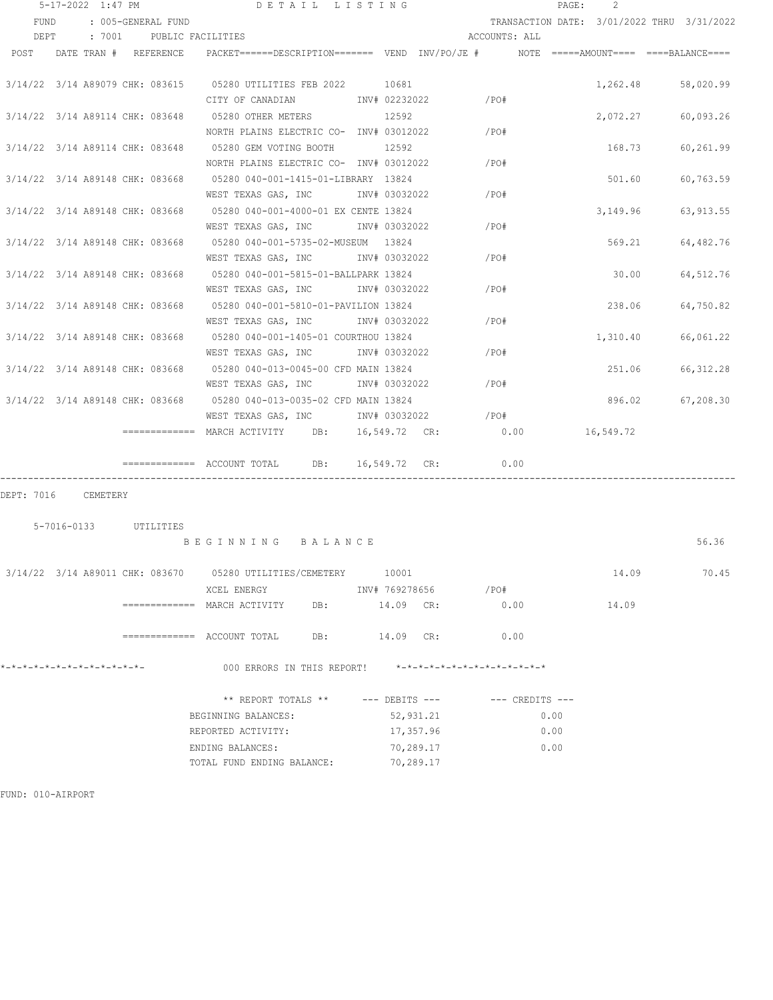|                                 | $5 - 17 - 2022$ 1:47 PM |                          |                                                                                          | DETAIL LISTING |               |                      |                     | PAGE: | 2         |                                            |
|---------------------------------|-------------------------|--------------------------|------------------------------------------------------------------------------------------|----------------|---------------|----------------------|---------------------|-------|-----------|--------------------------------------------|
| FUND                            |                         | : 005-GENERAL FUND       |                                                                                          |                |               |                      |                     |       |           | TRANSACTION DATE: 3/01/2022 THRU 3/31/2022 |
| DEPT                            |                         | : 7001 PUBLIC FACILITIES |                                                                                          |                |               | ACCOUNTS: ALL        |                     |       |           |                                            |
| POST                            |                         | DATE TRAN # REFERENCE    | PACKET======DESCRIPTION======= VEND INV/PO/JE #     NOTE =====AMOUNT==== ====BALANCE==== |                |               |                      |                     |       |           |                                            |
|                                 |                         |                          |                                                                                          |                |               |                      |                     |       |           |                                            |
|                                 |                         |                          | 3/14/22 3/14 A89079 CHK: 083615 05280 UTILITIES FEB 2022 10681                           |                |               |                      |                     |       | 1,262.48  | 58,020.99                                  |
|                                 |                         |                          | CITY OF CANADIAN MOTH NV# 02232022                                                       |                |               | /PO#                 |                     |       |           |                                            |
|                                 |                         |                          | 3/14/22 3/14 A89114 CHK: 083648 05280 OTHER METERS                                       |                | 12592         |                      |                     |       | 2,072.27  | 60,093.26                                  |
|                                 |                         |                          | NORTH PLAINS ELECTRIC CO- INV# 03012022                                                  |                |               | /PO#                 |                     |       |           |                                            |
|                                 |                         |                          | 3/14/22 3/14 A89114 CHK: 083648 05280 GEM VOTING BOOTH                                   |                | 12592         |                      |                     |       | 168.73    | 60,261.99                                  |
|                                 |                         |                          | NORTH PLAINS ELECTRIC CO- INV# 03012022                                                  |                |               | /PO#                 |                     |       |           |                                            |
|                                 |                         |                          | 3/14/22 3/14 A89148 CHK: 083668 05280 040-001-1415-01-LIBRARY 13824                      |                |               |                      |                     |       | 501.60    | 60,763.59                                  |
|                                 |                         |                          | WEST TEXAS GAS, INC                                                                      |                | INV# 03032022 | /PO#                 |                     |       |           |                                            |
|                                 |                         |                          | 3/14/22 3/14 A89148 CHK: 083668 05280 040-001-4000-01 EX CENTE 13824                     |                |               |                      |                     |       |           | 3, 149.96 63, 913.55                       |
|                                 |                         |                          | WEST TEXAS GAS, INC                                                                      |                | INV# 03032022 | /PO#                 |                     |       |           |                                            |
|                                 |                         |                          | 3/14/22 3/14 A89148 CHK: 083668 05280 040-001-5735-02-MUSEUM 13824                       |                |               |                      |                     |       | 569.21    | 64,482.76                                  |
|                                 |                         |                          | WEST TEXAS GAS, INC                                                                      |                | INV# 03032022 | /PO#                 |                     |       |           |                                            |
|                                 |                         |                          | 3/14/22 3/14 A89148 CHK: 083668 05280 040-001-5815-01-BALLPARK 13824                     |                |               |                      |                     |       | 30.00     | 64,512.76                                  |
|                                 |                         |                          | WEST TEXAS GAS, INC                                                                      |                | INV# 03032022 | /PO#                 |                     |       |           |                                            |
|                                 |                         |                          | 3/14/22 3/14 A89148 CHK: 083668 05280 040-001-5810-01-PAVILION 13824                     |                |               |                      |                     |       | 238.06    | 64,750.82                                  |
|                                 |                         |                          | WEST TEXAS GAS, INC                                                                      |                | INV# 03032022 | /P0#                 |                     |       |           |                                            |
|                                 |                         |                          | 3/14/22 3/14 A89148 CHK: 083668 05280 040-001-1405-01 COURTHOU 13824                     |                |               |                      |                     |       | 1,310.40  | 66,061.22                                  |
|                                 |                         |                          | WEST TEXAS GAS, INC NOTINV# 03032022                                                     |                |               | $/$ PO#              |                     |       |           |                                            |
| 3/14/22 3/14 A89148 CHK: 083668 |                         |                          | 05280 040-013-0045-00 CFD MAIN 13824                                                     |                |               |                      |                     |       | 251.06    | 66, 312.28                                 |
|                                 |                         |                          | WEST TEXAS GAS, INC MONTH 03032022                                                       |                |               | /PO#                 |                     |       |           |                                            |
|                                 |                         |                          | 3/14/22 3/14 A89148 CHK: 083668 05280 040-013-0035-02 CFD MAIN 13824                     |                |               |                      |                     |       | 896.02    | 67,208.30                                  |
|                                 |                         |                          | WEST TEXAS GAS, INC MET INV# 03032022                                                    |                |               | /PO#                 |                     |       |           |                                            |
|                                 |                         |                          | $\text{S}$ ============== MARCH ACTIVITY DB: 16,549.72 CR:                               |                |               | 0.00                 |                     |       | 16,549.72 |                                            |
|                                 |                         |                          | ============ ACCOUNT TOTAL DB:                                                           |                | 16,549.72 CR: | 0.00                 |                     |       |           |                                            |
| DEPT: 7016                      | CEMETERY                |                          |                                                                                          |                |               |                      |                     |       |           |                                            |
|                                 |                         |                          |                                                                                          |                |               |                      |                     |       |           |                                            |
|                                 |                         | 5-7016-0133 UTILITIES    |                                                                                          |                |               |                      |                     |       |           |                                            |
|                                 |                         |                          | BEGINNING BALANCE                                                                        |                |               |                      |                     |       |           | 56.36                                      |
|                                 |                         |                          | 3/14/22 3/14 A89011 CHK: 083670 05280 UTILITIES/CEMETERY 10001                           |                |               |                      |                     |       | 14.09     | 70.45                                      |
|                                 |                         |                          | XCEL ENERGY                                                                              |                |               | INV# 769278656 / PO# |                     |       |           |                                            |
|                                 |                         |                          | ============= MARCH ACTIVITY DB:                                                         |                |               | 14.09 CR: 0.00       |                     |       | 14.09     |                                            |
|                                 |                         |                          |                                                                                          |                |               |                      |                     |       |           |                                            |
|                                 |                         |                          | $\texttt{-----}$ ============= ACCOUNT TOTAL DB: $14.09$ CR:                             |                |               | 0.00                 |                     |       |           |                                            |
|                                 |                         |                          | 000 ERRORS IN THIS REPORT! *-*-*-*-*-*-*-*-*-*-*-*-*-*-                                  |                |               |                      |                     |       |           |                                            |
|                                 |                         |                          | ** REPORT TOTALS ** --- DEBITS ---                                                       |                |               |                      | $---$ CREDITS $---$ |       |           |                                            |

BEGINNING BALANCES: 52,931.21 0.00 REPORTED ACTIVITY:  $17,357.96$  0.00 ENDING BALANCES: 70,289.17 0.00 TOTAL FUND ENDING BALANCE: 70,289.17

FUND: 010-AIRPORT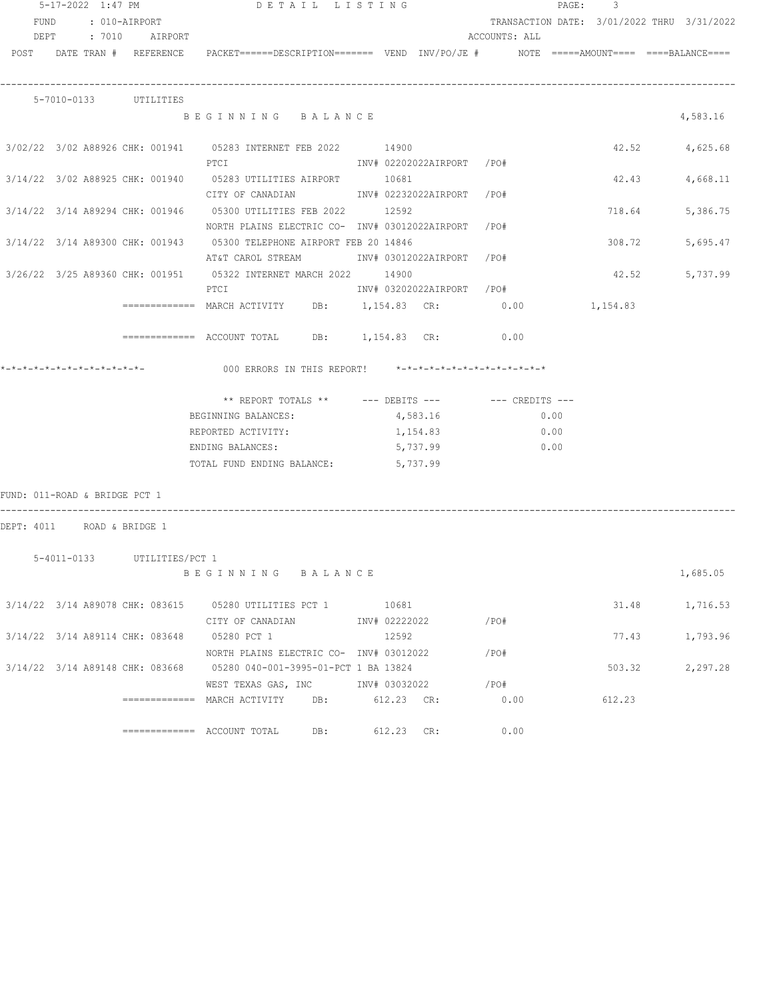|                               | 5-17-2022 1:47 PM |                             | DETAIL LISTING                                                                                                                   |     |              |                           |               |      | PAGE: 3  |                                            |
|-------------------------------|-------------------|-----------------------------|----------------------------------------------------------------------------------------------------------------------------------|-----|--------------|---------------------------|---------------|------|----------|--------------------------------------------|
|                               |                   | FUND : 010-AIRPORT          |                                                                                                                                  |     |              |                           |               |      |          | TRANSACTION DATE: 3/01/2022 THRU 3/31/2022 |
|                               |                   | DEPT : 7010 AIRPORT         |                                                                                                                                  |     |              |                           | ACCOUNTS: ALL |      |          |                                            |
|                               |                   |                             | POST DATE TRAN # REFERENCE PACKET======DESCRIPTION======= VEND INV/PO/JE # NOTE =====AMOUNT==== ====BALANCE====                  |     |              |                           |               |      |          |                                            |
|                               |                   | 5-7010-0133 UTILITIES       |                                                                                                                                  |     |              |                           |               |      |          |                                            |
|                               |                   |                             | BEGINNING BALANCE                                                                                                                |     |              |                           |               |      |          | 4,583.16                                   |
|                               |                   |                             | 3/02/22 3/02 A88926 CHK: 001941 05283 INTERNET FEB 2022 14900                                                                    |     |              |                           |               |      |          | 42.52 4,625.68                             |
|                               |                   |                             | CITY OF CANADIAN              INV# 02232022AIRPORT   /PO#                                                                        |     |              |                           |               |      | 42.43    | 4,668.11                                   |
|                               |                   |                             | NORTH PLAINS ELECTRIC CO- INV# 03012022AIRPORT /PO#                                                                              |     |              |                           |               |      | 718.64   | 5,386.75                                   |
|                               |                   |                             | 3/14/22 3/14 A89300 CHK: 001943 05300 TELEPHONE AIRPORT FEB 20 14846<br>AT&T CAROL STREAM            INV# 03012022AIRPORT   /PO# |     |              |                           |               |      | 308.72   | 5,695.47                                   |
|                               |                   |                             | 3/26/22 3/25 A89360 CHK: 001951 05322 INTERNET MARCH 2022 14900<br>$PTC$ T                                                       |     |              | INV# 03202022AIRPORT /PO# |               |      | 42.52    | 5,737.99                                   |
|                               |                   |                             | ============= MARCH ACTIVITY DB: 1,154.83 CR: 0.00                                                                               |     |              |                           |               |      | 1,154.83 |                                            |
|                               |                   |                             | ============ ACCOUNT TOTAL DB: 1,154.83 CR: 0.00                                                                                 |     |              |                           |               |      |          |                                            |
|                               |                   |                             | *-*-*-*-*-*-*-*-*-*-*-*-*-           000 ERRORS IN THIS REPORT!    *-*-*-*-*-*-*-*-*-*-*-*-*-*                                   |     |              |                           |               |      |          |                                            |
|                               |                   |                             | ** REPORT TOTALS ** --- DEBITS --- -- -- CREDITS ---                                                                             |     |              |                           |               |      |          |                                            |
|                               |                   |                             | BEGINNING BALANCES:                                                                                                              |     |              | 4,583.16                  |               | 0.00 |          |                                            |
|                               |                   |                             | REPORTED ACTIVITY:                                                                                                               |     |              | 1,154.83                  |               | 0.00 |          |                                            |
|                               |                   |                             | ENDING BALANCES:                                                                                                                 |     |              | 5,737.99                  |               | 0.00 |          |                                            |
|                               |                   |                             | TOTAL FUND ENDING BALANCE: 5,737.99                                                                                              |     |              |                           |               |      |          |                                            |
| FUND: 011-ROAD & BRIDGE PCT 1 |                   |                             |                                                                                                                                  |     |              |                           |               |      |          |                                            |
| DEPT: 4011 ROAD & BRIDGE 1    |                   |                             |                                                                                                                                  |     |              |                           |               |      |          |                                            |
|                               |                   | 5-4011-0133 UTILITIES/PCT 1 | BEGINNING BALANCE                                                                                                                |     |              |                           |               |      |          | 1,685.05                                   |
|                               |                   |                             | 3/14/22 3/14 A89078 CHK: 083615 05280 UTILITIES PCT 1 10681                                                                      |     |              |                           |               |      | 31.48    | 1,716.53                                   |
|                               |                   |                             | CITY OF CANADIAN MOTHOM INV# 02222022                                                                                            |     |              |                           | /PO#          |      |          |                                            |
|                               |                   |                             | 3/14/22 3/14 A89114 CHK: 083648 05280 PCT 1                                                                                      |     | 12592        |                           |               |      | 77.43    | 1,793.96                                   |
|                               |                   |                             | NORTH PLAINS ELECTRIC CO- INV# 03012022                                                                                          |     |              |                           | /PO#          |      |          |                                            |
|                               |                   |                             | 3/14/22 3/14 A89148 CHK: 083668 05280 040-001-3995-01-PCT 1 BA 13824                                                             |     |              |                           |               |      | 503.32   | 2,297.28                                   |
|                               |                   |                             | WEST TEXAS GAS, INC NOTINV# 03032022                                                                                             |     |              |                           | /PO#          |      |          |                                            |
|                               |                   |                             | $\overline{\phantom{z}}$ ============= MARCH ACTIVITY DB:                                                                        |     | $612.23$ CR: |                           |               | 0.00 | 612.23   |                                            |
|                               |                   |                             | $\qquad \qquad \overbrace{\texttt{-----}}\xspace\texttt{-----} \qquad \texttt{ACCOUNT TOTAL}$                                    | DB: | 612.23 CR:   |                           |               | 0.00 |          |                                            |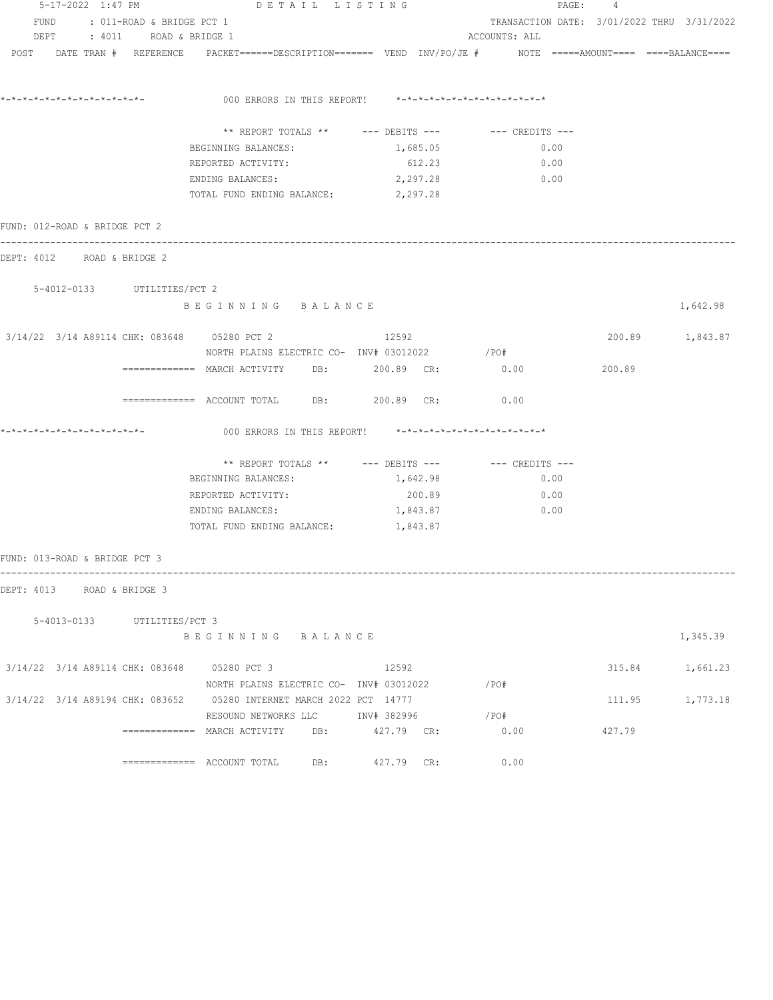|                                             |                                | $5-17-2022$ 1:47 PM DET AIL LISTING                                                                             |          | PAGE: 4                                    |        |                 |
|---------------------------------------------|--------------------------------|-----------------------------------------------------------------------------------------------------------------|----------|--------------------------------------------|--------|-----------------|
|                                             | FUND : 011-ROAD & BRIDGE PCT 1 |                                                                                                                 |          | TRANSACTION DATE: 3/01/2022 THRU 3/31/2022 |        |                 |
|                                             | DEPT : 4011 ROAD & BRIDGE 1    |                                                                                                                 |          | ACCOUNTS: ALL                              |        |                 |
|                                             |                                | POST DATE TRAN # REFERENCE PACKET======DESCRIPTION======= VEND INV/PO/JE # NOTE =====AMOUNT==== ====BALANCE==== |          |                                            |        |                 |
|                                             |                                |                                                                                                                 |          |                                            |        |                 |
|                                             |                                | 000 ERRORS IN THIS REPORT! *-*-*-*-*-*-*-*-*-*-*-*-*-*-                                                         |          |                                            |        |                 |
|                                             |                                | ** REPORT TOTALS ** --- DEBITS --- -- CREDITS ---                                                               |          |                                            |        |                 |
|                                             |                                | BEGINNING BALANCES:                                                                                             | 1,685.05 | 0.00                                       |        |                 |
|                                             |                                | REPORTED ACTIVITY:                                                                                              | 612.23   | 0.00                                       |        |                 |
|                                             |                                | ENDING BALANCES:                                                                                                | 2,297.28 | 0.00                                       |        |                 |
|                                             |                                | TOTAL FUND ENDING BALANCE: 2,297.28                                                                             |          |                                            |        |                 |
| FUND: 012-ROAD & BRIDGE PCT 2               |                                |                                                                                                                 |          |                                            |        |                 |
| DEPT: 4012 ROAD & BRIDGE 2                  |                                |                                                                                                                 |          |                                            |        |                 |
| 5-4012-0133 UTILITIES/PCT 2                 |                                |                                                                                                                 |          |                                            |        |                 |
|                                             |                                | BEGINNING BALANCE                                                                                               |          |                                            |        | 1,642.98        |
| 3/14/22 3/14 A89114 CHK: 083648 05280 PCT 2 |                                |                                                                                                                 | 12592    |                                            |        | 200.89 1,843.87 |
|                                             |                                | NORTH PLAINS ELECTRIC CO- INV# 03012022                                                                         |          | / PO#                                      |        |                 |
|                                             |                                | $\overline{\phantom{X}}$ ============= MARCH ACTIVITY DB: 200.89 CR:                                            |          | 0.00                                       | 200.89 |                 |
|                                             |                                | ============ ACCOUNT TOTAL DB: 200.89 CR: 0.00                                                                  |          |                                            |        |                 |
|                                             |                                | 000 ERRORS IN THIS REPORT! *-*-*-*-*-*-*-*-*-*-*-*-*-*-                                                         |          |                                            |        |                 |
|                                             |                                | ** REPORT TOTALS ** --- DEBITS --- -- CREDITS ---                                                               |          |                                            |        |                 |
|                                             |                                | BEGINNING BALANCES:                                                                                             | 1,642.98 | 0.00                                       |        |                 |
|                                             |                                | REPORTED ACTIVITY:                                                                                              | 200.89   | 0.00                                       |        |                 |
|                                             |                                | ENDING BALANCES:                                                                                                | 1,843.87 | 0.00                                       |        |                 |
|                                             |                                | TOTAL FUND ENDING BALANCE: 1,843.87                                                                             |          |                                            |        |                 |
| FUND: 013-ROAD & BRIDGE PCT 3               |                                |                                                                                                                 |          |                                            |        |                 |
| DEPT: 4013 ROAD & BRIDGE 3                  |                                |                                                                                                                 |          |                                            |        |                 |
|                                             | 5-4013-0133 UTILITIES/PCT 3    |                                                                                                                 |          |                                            |        |                 |
|                                             |                                | BEGINNING BALANCE                                                                                               |          |                                            |        | 1,345.39        |
| 3/14/22 3/14 A89114 CHK: 083648 05280 PCT 3 |                                |                                                                                                                 | 12592    |                                            |        | 315.84 1,661.23 |
|                                             |                                | NORTH PLAINS ELECTRIC CO- INV# 03012022                                                                         |          | / PO#                                      |        |                 |
|                                             |                                | 3/14/22 3/14 A89194 CHK: 083652 05280 INTERNET MARCH 2022 PCT 14777                                             |          |                                            |        | 111.95 1,773.18 |
|                                             |                                | RESOUND NETWORKS LLC MOTH 382996                                                                                |          | / PO#                                      |        |                 |
|                                             |                                | ============= MARCH ACTIVITY DB: 427.79 CR:                                                                     |          | 0.00                                       | 427.79 |                 |
|                                             |                                | ============= ACCOUNT TOTAL DB: 427.79 CR:                                                                      |          | 0.00                                       |        |                 |